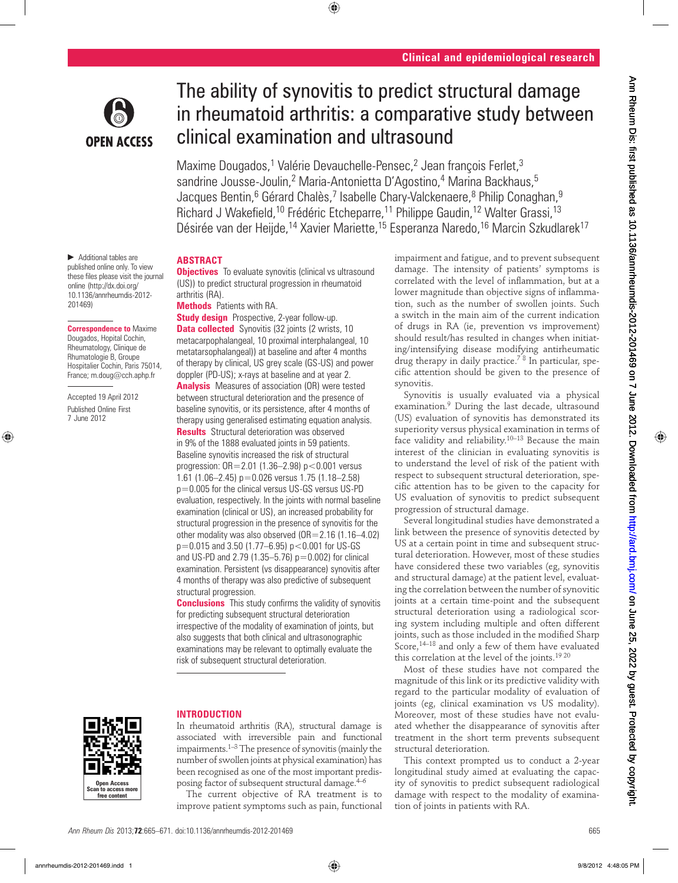

▶ Additional tables are published online only. To view these files please visit the journal

online (http://dx.doi.org/ 10.1136/annrheumdis-2012-

201469)

**Correspondence to** Maxime Dougados, Hopital Cochin, Rheumatology, Clinique de Rhumatologie B, Groupe Hospitalier Cochin, Paris 75014, France; m.doug@cch.aphp.fr

Accepted 19 April 2012

Published Online First 7 June 2012

# The ability of synovitis to predict structural damage in rheumatoid arthritis: a comparative study between clinical examination and ultrasound

Maxime Dougados,<sup>1</sup> Valérie Devauchelle-Pensec,<sup>2</sup> Jean françois Ferlet,<sup>3</sup> sandrine Jousse-Joulin,<sup>2</sup> Maria-Antonietta D'Agostino,<sup>4</sup> Marina Backhaus,<sup>5</sup> Jacques Bentin,<sup>6</sup> Gérard Chalès,<sup>7</sup> Isabelle Chary-Valckenaere,<sup>8</sup> Philip Conaghan,<sup>9</sup> Richard J Wakefield,<sup>10</sup> Frédéric Etcheparre,<sup>11</sup> Philippe Gaudin,<sup>12</sup> Walter Grassi,<sup>13</sup> Désirée van der Heijde,<sup>14</sup> Xavier Mariette,<sup>15</sup> Esperanza Naredo,<sup>16</sup> Marcin Szkudlarek<sup>17</sup>

**ABSTRACT**

**Objectives** To evaluate synovitis (clinical vs ultrasound (US)) to predict structural progression in rheumatoid arthritis (RA).

**Methods** Patients with RA.

**Study design** Prospective, 2-year follow-up. **Data collected** Synovitis (32 joints (2 wrists, 10 metacarpophalangeal, 10 proximal interphalangeal, 10 metatarsophalangeal)) at baseline and after 4 months of therapy by clinical, US grey scale (GS-US) and power doppler (PD-US); x-rays at baseline and at year 2. **Analysis** Measures of association (OR) were tested between structural deterioration and the presence of baseline synovitis, or its persistence, after 4 months of therapy using generalised estimating equation analysis. **Results** Structural deterioration was observed in 9% of the 1888 evaluated joints in 59 patients. Baseline synovitis increased the risk of structural progression: OR=2.01 (1.36–2.98) p<0.001 versus 1.61 (1.06–2.45) p=0.026 versus 1.75 (1.18–2.58) p=0.005 for the clinical versus US-GS versus US-PD evaluation, respectively. In the joints with normal baseline examination (clinical or US), an increased probability for structural progression in the presence of synovitis for the other modality was also observed (OR=2.16 (1.16–4.02) p=0.015 and 3.50 (1.77–6.95) p<0.001 for US-GS and US-PD and 2.79 (1.35-5.76)  $p=0.002$ ) for clinical examination. Persistent (vs disappearance) synovitis after 4 months of therapy was also predictive of subsequent structural progression.

**Conclusions** This study confirms the validity of synovitis for predicting subsequent structural deterioration irrespective of the modality of examination of joints, but also suggests that both clinical and ultrasonographic examinations may be relevant to optimally evaluate the risk of subsequent structural deterioration.

# Open Access  $\overline{\mathrm{n}}$  to access i free conte

#### **INTRODUCTION**

In rheumatoid arthritis (RA), structural damage is associated with irreversible pain and functional impairments.<sup>1–3</sup> The presence of synovitis (mainly the number of swollen joints at physical examination) has been recognised as one of the most important predisposing factor of subsequent structural damage.<sup>4-6</sup>

The current objective of RA treatment is to improve patient symptoms such as pain, functional impairment and fatigue, and to prevent subsequent damage. The intensity of patients' symptoms is correlated with the level of inflammation, but at a lower magnitude than objective signs of inflammation, such as the number of swollen joints. Such a switch in the main aim of the current indication of drugs in RA (ie, prevention vs improvement) should result/has resulted in changes when initiating/intensifying disease modifying antirheumatic drug therapy in daily practice.<sup>78</sup> In particular, specific attention should be given to the presence of synovitis.

Synovitis is usually evaluated via a physical examination.9 During the last decade, ultrasound (US) evaluation of synovitis has demonstrated its superiority versus physical examination in terms of face validity and reliability.10–13 Because the main interest of the clinician in evaluating synovitis is to understand the level of risk of the patient with respect to subsequent structural deterioration, specific attention has to be given to the capacity for US evaluation of synovitis to predict subsequent progression of structural damage.

Several longitudinal studies have demonstrated a link between the presence of synovitis detected by US at a certain point in time and subsequent structural deterioration. However, most of these studies have considered these two variables (eg, synovitis and structural damage) at the patient level, evaluating the correlation between the number of synovitic joints at a certain time-point and the subsequent structural deterioration using a radiological scoring system including multiple and often different joints, such as those included in the modified Sharp Score,<sup>14–18</sup> and only a few of them have evaluated this correlation at the level of the joints.19 20

Most of these studies have not compared the magnitude of this link or its predictive validity with regard to the particular modality of evaluation of joints (eg, clinical examination vs US modality). Moreover, most of these studies have not evaluated whether the disappearance of synovitis after treatment in the short term prevents subsequent structural deterioration.

This context prompted us to conduct a 2-year longitudinal study aimed at evaluating the capacity of synovitis to predict subsequent radiological damage with respect to the modality of examination of joints in patients with RA.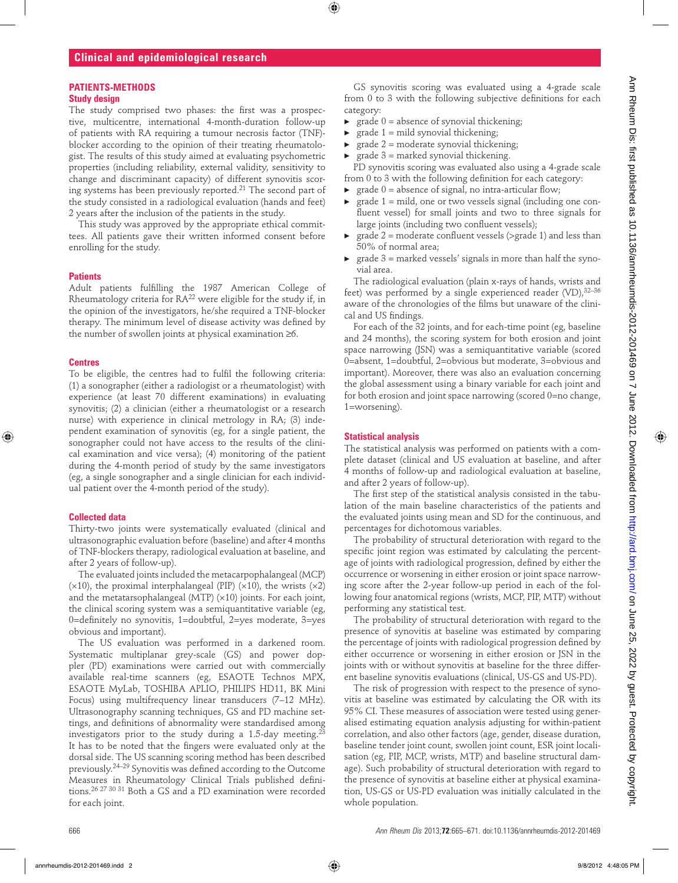#### **PATIENTS-METHODS Study design**

The study comprised two phases: the first was a prospective, multicentre, international 4-month-duration follow-up of patients with RA requiring a tumour necrosis factor (TNF) blocker according to the opinion of their treating rheumatologist. The results of this study aimed at evaluating psychometric properties (including reliability, external validity, sensitivity to change and discriminant capacity) of different synovitis scoring systems has been previously reported.21 The second part of the study consisted in a radiological evaluation (hands and feet) 2 years after the inclusion of the patients in the study.

This study was approved by the appropriate ethical committees. All patients gave their written informed consent before enrolling for the study.

#### **Patients**

Adult patients fulfilling the 1987 American College of Rheumatology criteria for RA22 were eligible for the study if, in the opinion of the investigators, he/she required a TNF-blocker therapy. The minimum level of disease activity was defined by the number of swollen joints at physical examination ≥6.

#### **Centres**

To be eligible, the centres had to fulfil the following criteria: (1) a sonographer (either a radiologist or a rheumatologist) with experience (at least 70 different examinations) in evaluating synovitis; (2) a clinician (either a rheumatologist or a research nurse) with experience in clinical metrology in RA; (3) independent examination of synovitis (eg, for a single patient, the sonographer could not have access to the results of the clinical examination and vice versa); (4) monitoring of the patient during the 4-month period of study by the same investigators (eg, a single sonographer and a single clinician for each individual patient over the 4-month period of the study).

#### **Collected data**

Thirty-two joints were systematically evaluated (clinical and ultrasonographic evaluation before (baseline) and after 4 months of TNF-blockers therapy, radiological evaluation at baseline, and after 2 years of follow-up).

The evaluated joints included the metacarpophalangeal (MCP)  $(x10)$ , the proximal interphalangeal (PIP)  $(x10)$ , the wrists  $(x2)$ and the metatarsophalangeal (MTP) (×10) joints. For each joint, the clinical scoring system was a semiquantitative variable (eg, 0=definitely no synovitis, 1=doubtful, 2=yes moderate, 3=yes obvious and important).

The US evaluation was performed in a darkened room. Systematic multiplanar grey-scale (GS) and power doppler (PD) examinations were carried out with commercially available real-time scanners (eg, ESAOTE Technos MPX, ESAOTE MyLab, TOSHIBA APLIO, PHILIPS HD11, BK Mini Focus) using multifrequency linear transducers (7–12 MHz). Ultrasonography scanning techniques, GS and PD machine settings, and definitions of abnormality were standardised among investigators prior to the study during a 1.5-day meeting.<sup>23</sup> It has to be noted that the fingers were evaluated only at the dorsal side. The US scanning scoring method has been described previously. $24-29$  Synovitis was defined according to the Outcome Measures in Rheumatology Clinical Trials published definitions.26 27 30 31 Both a GS and a PD examination were recorded for each joint.

GS synovitis scoring was evaluated using a 4-grade scale from 0 to 3 with the following subjective definitions for each category:

- $\triangleright$  grade  $0 =$  absence of synovial thickening;
- grade  $1 =$  mild synovial thickening;
- $\triangleright$  grade 2 = moderate synovial thickening;
- grade  $3 =$  marked synovial thickening.

PD synovitis scoring was evaluated also using a 4-grade scale from 0 to 3 with the following definition for each category:

- $\blacktriangleright$  grade  $0 =$  absence of signal, no intra-articular flow;
- grade  $1 = \text{mild}$ , one or two vessels signal (including one confluent vessel) for small joints and two to three signals for large joints (including two confluent vessels);
- grade  $2$  = moderate confluent vessels (>grade 1) and less than 50% of normal area;
- $\triangleright$  grade 3 = marked vessels' signals in more than half the synovial area.

The radiological evaluation (plain x-rays of hands, wrists and feet) was performed by a single experienced reader (VD), 32-36 aware of the chronologies of the films but unaware of the clinical and US findings.

For each of the 32 joints, and for each-time point (eg, baseline and 24 months), the scoring system for both erosion and joint space narrowing (JSN) was a semiquantitative variable (scored 0=absent, 1=doubtful, 2=obvious but moderate, 3=obvious and important). Moreover, there was also an evaluation concerning the global assessment using a binary variable for each joint and for both erosion and joint space narrowing (scored 0=no change, 1=worsening).

#### **Statistical analysis**

The statistical analysis was performed on patients with a complete dataset (clinical and US evaluation at baseline, and after 4 months of follow-up and radiological evaluation at baseline, and after 2 years of follow-up).

The first step of the statistical analysis consisted in the tabulation of the main baseline characteristics of the patients and the evaluated joints using mean and SD for the continuous, and percentages for dichotomous variables.

The probability of structural deterioration with regard to the specific joint region was estimated by calculating the percentage of joints with radiological progression, defined by either the occurrence or worsening in either erosion or joint space narrowing score after the 2-year follow-up period in each of the following four anatomical regions (wrists, MCP, PIP, MTP) without performing any statistical test.

The probability of structural deterioration with regard to the presence of synovitis at baseline was estimated by comparing the percentage of joints with radiological progression defined by either occurrence or worsening in either erosion or JSN in the joints with or without synovitis at baseline for the three different baseline synovitis evaluations (clinical, US-GS and US-PD).

The risk of progression with respect to the presence of synovitis at baseline was estimated by calculating the OR with its 95% CI. These measures of association were tested using generalised estimating equation analysis adjusting for within-patient correlation, and also other factors (age, gender, disease duration, baseline tender joint count, swollen joint count, ESR joint localisation (eg, PIP, MCP, wrists, MTP) and baseline structural damage). Such probability of structural deterioration with regard to the presence of synovitis at baseline either at physical examination, US-GS or US-PD evaluation was initially calculated in the whole population.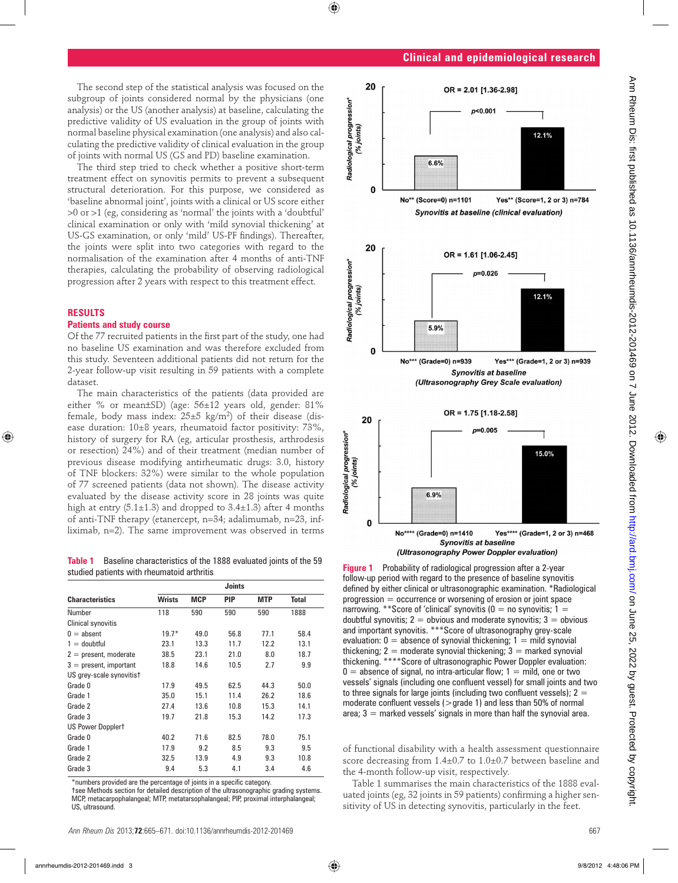The second step of the statistical analysis was focused on the subgroup of joints considered normal by the physicians (one analysis) or the US (another analysis) at baseline, calculating the predictive validity of US evaluation in the group of joints with normal baseline physical examination (one analysis) and also calculating the predictive validity of clinical evaluation in the group of joints with normal US (GS and PD) baseline examination.

The third step tried to check whether a positive short-term treatment effect on synovitis permits to prevent a subsequent structural deterioration. For this purpose, we considered as 'baseline abnormal joint', joints with a clinical or US score either >0 or >1 (eg, considering as 'normal' the joints with a 'doubtful' clinical examination or only with 'mild synovial thickening' at US-GS examination, or only 'mild' US-PF findings). Thereafter, the joints were split into two categories with regard to the normalisation of the examination after 4 months of anti-TNF therapies, calculating the probability of observing radiological progression after 2 years with respect to this treatment effect.

#### **RESULTS**

#### **Patients and study course**

Of the 77 recruited patients in the first part of the study, one had no baseline US examination and was therefore excluded from this study. Seventeen additional patients did not return for the 2-year follow-up visit resulting in 59 patients with a complete dataset.

The main characteristics of the patients (data provided are either % or mean±SD) (age: 56±12 years old, gender: 81% female, body mass index:  $25\pm5$  kg/m<sup>2</sup>) of their disease (disease duration: 10±8 years, rheumatoid factor positivity: 73%, history of surgery for RA (eg, articular prosthesis, arthrodesis or resection) 24%) and of their treatment (median number of previous disease modifying antirheumatic drugs: 3.0, history of TNF blockers: 32%) were similar to the whole population of 77 screened patients (data not shown). The disease activity evaluated by the disease activity score in 28 joints was quite high at entry  $(5.1\pm1.3)$  and dropped to  $3.4\pm1.3$ ) after 4 months of anti-TNF therapy (etanercept, n=34; adalimumab, n=23, infliximab, n=2). The same improvement was observed in terms

**Table 1** Baseline characteristics of the 1888 evaluated joints of the 59 studied patients with rheumatoid arthritis

|                           | <b>Joints</b> |            |            |            |              |
|---------------------------|---------------|------------|------------|------------|--------------|
| <b>Characteristics</b>    | <b>Wrists</b> | <b>MCP</b> | <b>PIP</b> | <b>MTP</b> | <b>Total</b> |
| Number                    | 118           | 590        | 590        | 590        | 1888         |
| <b>Clinical synovitis</b> |               |            |            |            |              |
| $0 =$ absent              | $19.7*$       | 49.0       | 56.8       | 77.1       | 58.4         |
| $1 =$ doubtful            | 23.1          | 13.3       | 11.7       | 12.2       | 13.1         |
| $2 =$ present, moderate   | 38.5          | 23.1       | 21.0       | 8.0        | 18.7         |
| $3 =$ present, important  | 18.8          | 14.6       | 10.5       | 2.7        | 9.9          |
| US grey-scale synovitist  |               |            |            |            |              |
| Grade 0                   | 17.9          | 49.5       | 62.5       | 44.3       | 50.0         |
| Grade 1                   | 35.0          | 15.1       | 11.4       | 26.2       | 18.6         |
| Grade 2                   | 27.4          | 13.6       | 10.8       | 15.3       | 14.1         |
| Grade 3                   | 19.7          | 21.8       | 15.3       | 14.2       | 17.3         |
| <b>US Power Dopplert</b>  |               |            |            |            |              |
| Grade 0                   | 40.2          | 71.6       | 82.5       | 78.0       | 75.1         |
| Grade 1                   | 17.9          | 9.2        | 8.5        | 9.3        | 9.5          |
| Grade 2                   | 32.5          | 13.9       | 4.9        | 9.3        | 10.8         |
| Grade 3                   | 9.4           | 5.3        | 4.1        | 3.4        | 4.6          |

\*numbers provided are the percentage of joints in a specific category.

†see Methods section for detailed description of the ultrasonographic grading systems. MCP, metacarpophalangeal; MTP, metatarsophalangeal; PIP, proximal interphalangeal; US, ultrasound.



**Figure 1** Probability of radiological progression after a 2-year follow-up period with regard to the presence of baseline synovitis defined by either clinical or ultrasonographic examination. \*Radiological progression = occurrence or worsening of erosion or joint space narrowing. \*\*Score of 'clinical' synovitis ( $0 =$  no synovitis;  $1 =$ doubtful synovitis;  $2 =$  obvious and moderate synovitis;  $3 =$  obvious and important synovitis. \*\*\*Score of ultrasonography grey-scale evaluation:  $0 =$  absence of synovial thickening;  $1 =$  mild synovial thickening;  $2 =$  moderate synovial thickening;  $3 =$  marked synovial thickening. \*\*\*\*Score of ultrasonographic Power Doppler evaluation:  $0 =$  absence of signal, no intra-articular flow;  $1 =$  mild, one or two vessels' signals (including one confluent vessel) for small joints and two to three signals for large joints (including two confluent vessels);  $2 =$ moderate confluent vessels ( $>$ grade 1) and less than 50% of normal area;  $3 =$  marked vessels' signals in more than half the synovial area.

of functional disability with a health assessment questionnaire score decreasing from  $1.4\pm0.7$  to  $1.0\pm0.7$  between baseline and the 4-month follow-up visit, respectively.

Table 1 summarises the main characteristics of the 1888 evaluated joints (eg, 32 joints in 59 patients) confirming a higher sensitivity of US in detecting synovitis, particularly in the feet.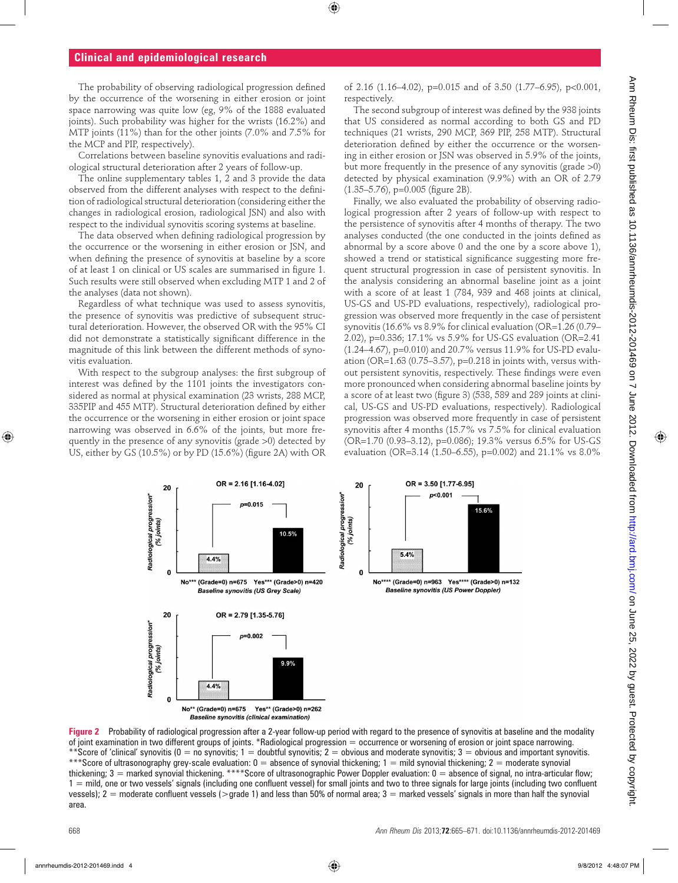The probability of observing radiological progression defined by the occurrence of the worsening in either erosion or joint space narrowing was quite low (eg, 9% of the 1888 evaluated joints). Such probability was higher for the wrists (16.2%) and MTP joints (11%) than for the other joints (7.0% and 7.5% for the MCP and PIP, respectively).

Correlations between baseline synovitis evaluations and radiological structural deterioration after 2 years of follow-up.

The online supplementary tables 1, 2 and 3 provide the data observed from the different analyses with respect to the definition of radiological structural deterioration (considering either the changes in radiological erosion, radiological JSN) and also with respect to the individual synovitis scoring systems at baseline.

The data observed when defining radiological progression by the occurrence or the worsening in either erosion or JSN, and when defining the presence of synovitis at baseline by a score of at least 1 on clinical or US scales are summarised in figure 1. Such results were still observed when excluding MTP 1 and 2 of the analyses (data not shown).

Regardless of what technique was used to assess synovitis, the presence of synovitis was predictive of subsequent structural deterioration. However, the observed OR with the 95% CI did not demonstrate a statistically significant difference in the magnitude of this link between the different methods of synovitis evaluation.

With respect to the subgroup analyses: the first subgroup of interest was defined by the 1101 joints the investigators considered as normal at physical examination (23 wrists, 288 MCP, 335PIP and 455 MTP). Structural deterioration defined by either the occurrence or the worsening in either erosion or joint space narrowing was observed in 6.6% of the joints, but more frequently in the presence of any synovitis (grade >0) detected by US, either by GS (10.5%) or by PD (15.6%) (figure 2A) with OR of 2.16 (1.16–4.02), p=0.015 and of 3.50 (1.77–6.95), p<0.001, respectively.

The second subgroup of interest was defined by the 938 joints that US considered as normal according to both GS and PD techniques (21 wrists, 290 MCP, 369 PIP, 258 MTP). Structural deterioration defined by either the occurrence or the worsening in either erosion or JSN was observed in 5.9% of the joints, but more frequently in the presence of any synovitis (grade >0) detected by physical examination (9.9%) with an OR of 2.79  $(1.35-5.76)$ , p=0.005 (figure 2B).

Finally, we also evaluated the probability of observing radiological progression after 2 years of follow-up with respect to the persistence of synovitis after 4 months of therapy. The two analyses conducted (the one conducted in the joints defined as abnormal by a score above 0 and the one by a score above 1), showed a trend or statistical significance suggesting more frequent structural progression in case of persistent synovitis. In the analysis considering an abnormal baseline joint as a joint with a score of at least 1 (784, 939 and 468 joints at clinical, US-GS and US-PD evaluations, respectively), radiological progression was observed more frequently in the case of persistent synovitis (16.6% vs 8.9% for clinical evaluation (OR=1.26 (0.79– 2.02), p=0.336; 17.1% vs 5.9% for US-GS evaluation (OR=2.41 (1.24–4.67), p=0.010) and 20.7% versus 11.9% for US-PD evaluation (OR= $1.63$  (0.75– $3.57$ ), p=0.218 in joints with, versus without persistent synovitis, respectively. These findings were even more pronounced when considering abnormal baseline joints by a score of at least two (figure 3) (538, 589 and 289 joints at clinical, US-GS and US-PD evaluations, respectively). Radiological progression was observed more frequently in case of persistent synovitis after 4 months (15.7% vs 7.5% for clinical evaluation (OR=1.70 (0.93–3.12), p=0.086); 19.3% versus 6.5% for US-GS evaluation (OR=3.14 (1.50–6.55), p=0.002) and 21.1% vs 8.0%



**Figure 2** Probability of radiological progression after a 2-year follow-up period with regard to the presence of synovitis at baseline and the modality of joint examination in two different groups of joints. \*Radiological progression = occurrence or worsening of erosion or joint space narrowing. \*\*Score of 'clinical' synovitis (0 = no synovitis; 1 = doubtful synovitis; 2 = obvious and moderate synovitis; 3 = obvious and important synovitis. \*\*\*Score of ultrasonography grey-scale evaluation: 0 = absence of synovial thickening; 1 = mild synovial thickening; 2 = moderate synovial thickening;  $3$  = marked synovial thickening. \*\*\*\*Score of ultrasonographic Power Doppler evaluation:  $0$  = absence of signal, no intra-articular flow;  $1 =$  mild, one or two vessels' signals (including one confluent vessel) for small joints and two to three signals for large joints (including two confluent vessels);  $2 =$  moderate confluent vessels ( $>$ grade 1) and less than 50% of normal area;  $3 =$  marked vessels' signals in more than half the synovial area.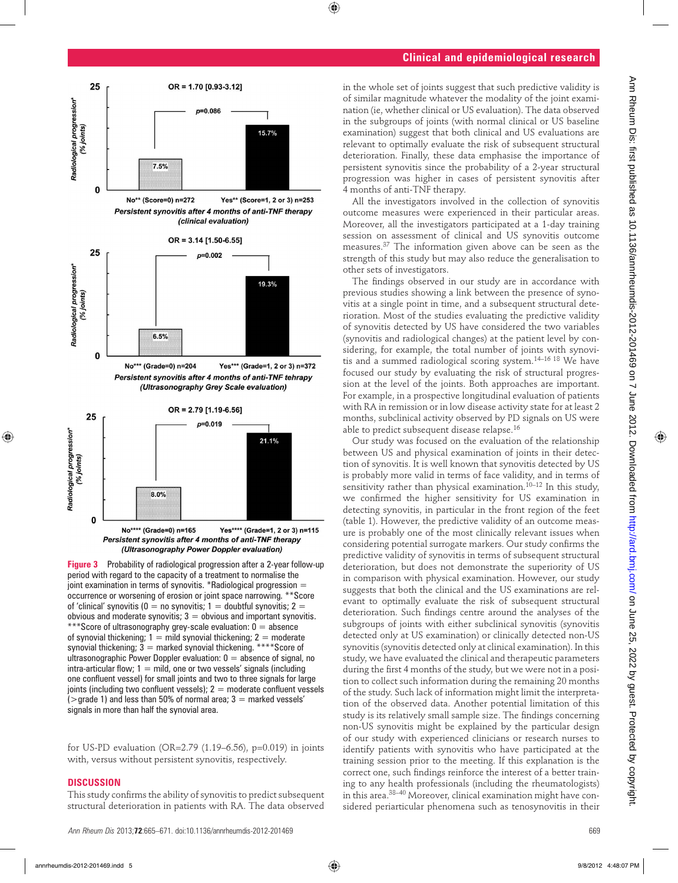





**Figure 3** Probability of radiological progression after a 2-year follow-up period with regard to the capacity of a treatment to normalise the joint examination in terms of synovitis. \*Radiological progression = occurrence or worsening of erosion or joint space narrowing. \*\*Score of 'clinical' synovitis ( $0 =$  no synovitis; 1 = doubtful synovitis; 2 = obvious and moderate synovitis;  $3 =$  obvious and important synovitis. \*\*\*Score of ultrasonography grey-scale evaluation:  $0 =$  absence of synovial thickening;  $1 =$  mild synovial thickening;  $2 =$  moderate synovial thickening;  $3 =$  marked synovial thickening. \*\*\*\* Score of ultrasonographic Power Doppler evaluation:  $0 =$  absence of signal, no intra-articular flow;  $1 = \text{mild}$ , one or two vessels' signals (including one confluent vessel) for small joints and two to three signals for large joints (including two confluent vessels);  $2 =$  moderate confluent vessels  $($  > grade 1) and less than 50% of normal area; 3 = marked vessels' signals in more than half the synovial area.

for US-PD evaluation (OR=2.79 (1.19–6.56),  $p=0.019$ ) in joints with, versus without persistent synovitis, respectively.

#### **DISCUSSION**

This study confirms the ability of synovitis to predict subsequent structural deterioration in patients with RA. The data observed

in the whole set of joints suggest that such predictive validity is of similar magnitude whatever the modality of the joint examination (ie, whether clinical or US evaluation). The data observed in the subgroups of joints (with normal clinical or US baseline examination) suggest that both clinical and US evaluations are relevant to optimally evaluate the risk of subsequent structural deterioration. Finally, these data emphasise the importance of persistent synovitis since the probability of a 2-year structural progression was higher in cases of persistent synovitis after 4 months of anti-TNF therapy.

All the investigators involved in the collection of synovitis outcome measures were experienced in their particular areas. Moreover, all the investigators participated at a 1-day training session on assessment of clinical and US synovitis outcome measures.37 The information given above can be seen as the strength of this study but may also reduce the generalisation to other sets of investigators.

The findings observed in our study are in accordance with previous studies showing a link between the presence of synovitis at a single point in time, and a subsequent structural deterioration. Most of the studies evaluating the predictive validity of synovitis detected by US have considered the two variables (synovitis and radiological changes) at the patient level by considering, for example, the total number of joints with synovitis and a summed radiological scoring system.14–16 18 We have focused our study by evaluating the risk of structural progression at the level of the joints. Both approaches are important. For example, in a prospective longitudinal evaluation of patients with RA in remission or in low disease activity state for at least 2 months, subclinical activity observed by PD signals on US were able to predict subsequent disease relapse.16

Our study was focused on the evaluation of the relationship between US and physical examination of joints in their detection of synovitis. It is well known that synovitis detected by US is probably more valid in terms of face validity, and in terms of sensitivity rather than physical examination.<sup>10–12</sup> In this study, we confirmed the higher sensitivity for US examination in detecting synovitis, in particular in the front region of the feet (table 1). However, the predictive validity of an outcome measure is probably one of the most clinically relevant issues when considering potential surrogate markers. Our study confirms the predictive validity of synovitis in terms of subsequent structural deterioration, but does not demonstrate the superiority of US in comparison with physical examination. However, our study suggests that both the clinical and the US examinations are relevant to optimally evaluate the risk of subsequent structural deterioration. Such findings centre around the analyses of the subgroups of joints with either subclinical synovitis (synovitis detected only at US examination) or clinically detected non-US synovitis (synovitis detected only at clinical examination). In this study, we have evaluated the clinical and therapeutic parameters during the first 4 months of the study, but we were not in a position to collect such information during the remaining 20 months of the study. Such lack of information might limit the interpretation of the observed data. Another potential limitation of this study is its relatively small sample size. The findings concerning non-US synovitis might be explained by the particular design of our study with experienced clinicians or research nurses to identify patients with synovitis who have participated at the training session prior to the meeting. If this explanation is the correct one, such findings reinforce the interest of a better training to any health professionals (including the rheumatologists) in this area.38–40 Moreover, clinical examination might have considered periarticular phenomena such as tenosynovitis in their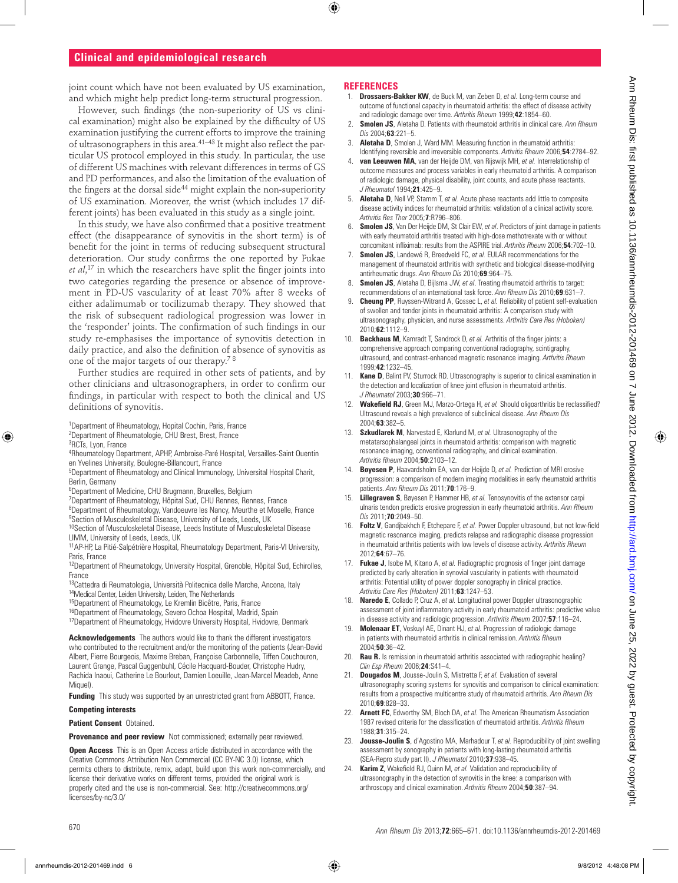joint count which have not been evaluated by US examination, and which might help predict long-term structural progression.

However, such findings (the non-superiority of US vs clinical examination) might also be explained by the difficulty of US examination justifying the current efforts to improve the training of ultrasonographers in this area.<sup>41–43</sup> It might also reflect the particular US protocol employed in this study. In particular, the use of different US machines with relevant differences in terms of GS and PD performances, and also the limitation of the evaluation of the fingers at the dorsal side<sup>44</sup> might explain the non-superiority of US examination. Moreover, the wrist (which includes 17 different joints) has been evaluated in this study as a single joint.

In this study, we have also confirmed that a positive treatment effect (the disappearance of synovitis in the short term) is of benefit for the joint in terms of reducing subsequent structural deterioration. Our study confirms the one reported by Fukae *et al*,<sup>17</sup> in which the researchers have split the finger joints into two categories regarding the presence or absence of improvement in PD-US vascularity of at least 70% after 8 weeks of either adalimumab or tocilizumab therapy. They showed that the risk of subsequent radiological progression was lower in the 'responder' joints. The confirmation of such findings in our study re-emphasises the importance of synovitis detection in daily practice, and also the definition of absence of synovitis as one of the major targets of our therapy.7 8

Further studies are required in other sets of patients, and by other clinicians and ultrasonographers, in order to confirm our findings, in particular with respect to both the clinical and US definitions of synovitis.

- <sup>1</sup>Department of Rheumatology, Hopital Cochin, Paris, France
- 2 Department of Rheumatologie, CHU Brest, Brest, France
- <sup>3</sup>RCTs, Lyon, France
- 4 Rheumatology Department, APHP, Ambroise-Paré Hospital, Versailles-Saint Quentin en Yvelines University, Boulogne-Billancourt, France
- <sup>5</sup>Department of Rheumatology and Clinical Immunology, Universital Hospital Charit, Berlin, Germany
- 6 Department of Medicine, CHU Brugmann, Bruxelles, Belgium
- <sup>7</sup>Department of Rheumatology, Hôpital Sud, CHU Rennes, Rennes, France
- <sup>8</sup>Department of Rheumatology, Vandoeuvre les Nancy, Meurthe et Moselle, France
- <sup>9</sup>Section of Musculoskeletal Disease, University of Leeds, Leeds, UK <sup>10</sup>Section of Musculoskeletal Disease, Leeds Institute of Musculoskeletal Disease LIMM, University of Leeds, Leeds, UK
- 11AP-HP, La Pitié-Salpétrière Hospital, Rheumatology Department, Paris-VI University, Paris, France
- <sup>12</sup>Department of Rheumatology, University Hospital, Grenoble, Hôpital Sud, Echirolles, France
- 13Cattedra di Reumatologia, Università Politecnica delle Marche, Ancona, Italy 14 Medical Center, Leiden University, Leiden, The Netherlands
- 15Department of Rheumatology, Le Kremlin Bicêtre, Paris, France
- 16Department of Rheumatology, Severo Ochoa Hospital, Madrid, Spain
- <sup>17</sup>Department of Rheumatology, Hvidovre University Hospital, Hvidovre, Denmark

**Acknowledgements** The authors would like to thank the different investigators who contributed to the recruitment and/or the monitoring of the patients (Jean-David Albert, Pierre Bourgeois, Maxime Breban, Françoise Carbonnelle, Tiffen Couchouron, Laurent Grange, Pascal Guggenbuhl, Cécile Hacquard-Bouder, Christophe Hudry, Rachida Inaoui, Catherine Le Bourlout, Damien Loeuille, Jean-Marcel Meadeb, Anne Miquel).

**Funding** This study was supported by an unrestricted grant from ABBOTT, France.

#### **Competing interests**

#### **Patient Consent** Obtained.

**Provenance and peer review** Not commissioned; externally peer reviewed.

**Open Access** This is an Open Access article distributed in accordance with the Creative Commons Attribution Non Commercial (CC BY-NC 3.0) license, which permits others to distribute, remix, adapt, build upon this work non-commercially, and license their derivative works on different terms, provided the original work is properly cited and the use is non-commercial. See: http://creativecommons.org/ licenses/by-nc/3.0/

#### **REFERENCES**

- 1. **Drossaers-Bakker KW**, de Buck M, van Zeben D, *et al.* Long-term course and outcome of functional capacity in rheumatoid arthritis: the effect of disease activity and radiologic damage over time. *Arthritis Rheum* 1999;**42**:1854–60.
- 2. **Smolen JS**, Aletaha D. Patients with rheumatoid arthritis in clinical care. *Ann Rheum Dis* 2004;**63**:221–5.
- 3. **Aletaha D**, Smolen J, Ward MM. Measuring function in rheumatoid arthritis: Identifying reversible and irreversible components. *Arthritis Rheum* 2006;**54**:2784–92.
- 4. **van Leeuwen MA**, van der Heijde DM, van Rijswijk MH, *et al.* Interrelationship of outcome measures and process variables in early rheumatoid arthritis. A comparison of radiologic damage, physical disability, joint counts, and acute phase reactants. *J Rheumatol* 1994;**21**:425–9.
- 5. **Aletaha D**, Nell VP, Stamm T, *et al.* Acute phase reactants add little to composite disease activity indices for rheumatoid arthritis: validation of a clinical activity score. *Arthritis Res Ther* 2005;**7**:R796–806.
- 6. **Smolen JS**, Van Der Heijde DM, St Clair EW, *et al*. Predictors of joint damage in patients with early rheumatoid arthritis treated with high-dose methotrexate with or without concomitant infliximab: results from the ASPIRE trial. Arthritis Rheum 2006;54:702-10.
- 7. **Smolen JS**, Landewé R, Breedveld FC, *et al.* EULAR recommendations for the management of rheumatoid arthritis with synthetic and biological disease-modifying antirheumatic drugs. *Ann Rheum Dis* 2010;**69**:964–75.
- 8. **Smolen JS**, Aletaha D, Bijlsma JW, *et al*. Treating rheumatoid arthritis to target: recommendations of an international task force. *Ann Rheum Dis* 2010;**69**:631–7.
- 9. **Cheung PP**, Ruyssen-Witrand A, Gossec L, *et al.* Reliability of patient self-evaluation of swollen and tender joints in rheumatoid arthritis: A comparison study with ultrasonography, physician, and nurse assessments. *Arthritis Care Res (Hoboken)* 2010;**62**:1112–9.
- 10. **Backhaus M**, Kamradt T, Sandrock D, et al. Arthritis of the finger joints: a comprehensive approach comparing conventional radiography, scintigraphy, ultrasound, and contrast-enhanced magnetic resonance imaging. *Arthritis Rheum* 1999;**42**:1232–45.
- 11. **Kane D**, Balint PV, Sturrock RD. Ultrasonography is superior to clinical examination in the detection and localization of knee joint effusion in rheumatoid arthritis. *J Rheumatol* 2003;**30**:966–71.
- 12. **Wakefield RJ**, Green MJ, Marzo-Ortega H, et al. Should oligoarthritis be reclassified? Ultrasound reveals a high prevalence of subclinical disease. *Ann Rheum Dis* 2004;**63**:382–5.
- 13. **Szkudlarek M**, Narvestad E, Klarlund M, *et al.* Ultrasonography of the metatarsophalangeal joints in rheumatoid arthritis: comparison with magnetic resonance imaging, conventional radiography, and clinical examination. *Arthritis Rheum* 2004;**50**:2103–12.
- 14. **Bøyesen P**, Haavardsholm EA, van der Heijde D, *et al.* Prediction of MRI erosive progression: a comparison of modern imaging modalities in early rheumatoid arthritis patients. *Ann Rheum Dis* 2011;**70**:176–9.
- 15. **Lillegraven S**, Bøyesen P, Hammer HB, *et al.* Tenosynovitis of the extensor carpi ulnaris tendon predicts erosive progression in early rheumatoid arthritis. *Ann Rheum Dis* 2011;**70**:2049–50.
- 16. **Foltz V**, Gandjbakhch F, Etchepare F, et al. Power Doppler ultrasound, but not low-field magnetic resonance imaging, predicts relapse and radiographic disease progression in rheumatoid arthritis patients with low levels of disease activity. *Arthritis Rheum* 2012;**64**:67–76.
- 17. **Fukae J**, Isobe M, Kitano A, *et al.* Radiographic prognosis of finger joint damage predicted by early alteration in synovial vascularity in patients with rheumatoid arthritis: Potential utility of power doppler sonography in clinical practice. *Arthritis Care Res (Hoboken)* 2011;**63**:1247–53.
- 18. **Naredo E**, Collado P, Cruz A, *et al.* Longitudinal power Doppler ultrasonographic assessment of joint inflammatory activity in early rheumatoid arthritis: predictive value in disease activity and radiologic progression. *Arthritis Rheum* 2007;**57**:116–24.
- 19. **Molenaar ET**, Voskuyl AE, Dinant HJ, *et al.* Progression of radiologic damage in patients with rheumatoid arthritis in clinical remission. *Arthritis Rheum* 2004;**50**:36–42.
- 20. **Rau R.** Is remission in rheumatoid arthritis associated with radiographic healing? *Clin Esp Rheum* 2006;**24**:S41–4.
- 21. **Dougados M**, Jousse-Joulin S, Mistretta F, *et al.* Evaluation of several ultrasonography scoring systems for synovitis and comparison to clinical examination: results from a prospective multicentre study of rheumatoid arthritis. *Ann Rheum Dis* 2010;**69**:828–33.
- 22. **Arnett FC**, Edworthy SM, Bloch DA, *et al.* The American Rheumatism Association 1987 revised criteria for the classification of rheumatoid arthritis. Arthritis Rheum 1988;**31**:315–24.
- 23. **Jousse-Joulin S**, d'Agostino MA, Marhadour T, *et al.* Reproducibility of joint swelling assessment by sonography in patients with long-lasting rheumatoid arthritis (SEA-Repro study part II). *J Rheumatol* 2010;**37**:938–45.
- 24. **Karim Z**, Wakefield RJ, Quinn M, et al. Validation and reproducibility of ultrasonography in the detection of synovitis in the knee: a comparison with arthroscopy and clinical examination. *Arthritis Rheum* 2004;**50**:387–94.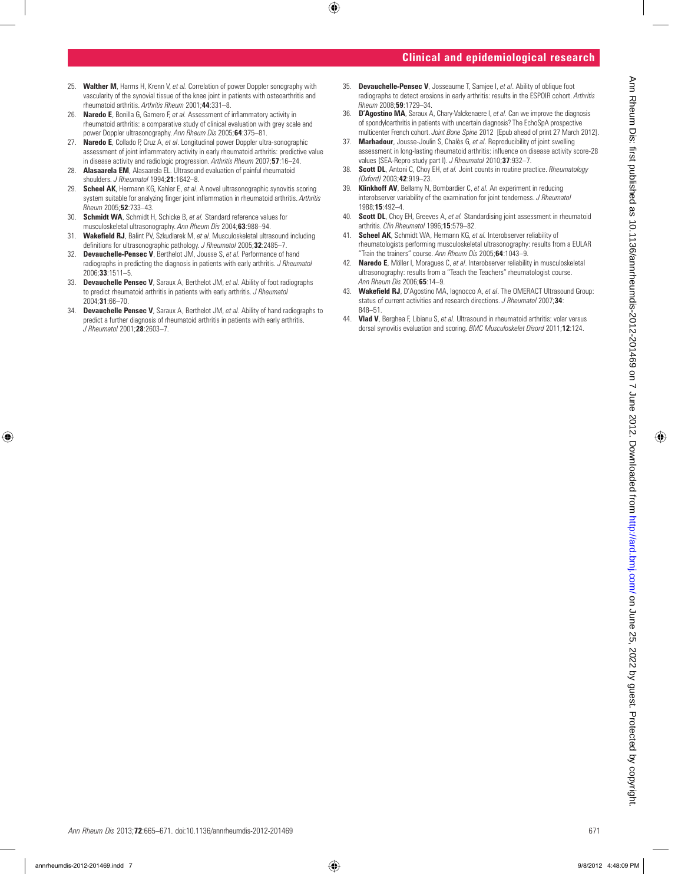- 25. **Walther M**, Harms H, Krenn V, *et al.* Correlation of power Doppler sonography with vascularity of the synovial tissue of the knee joint in patients with osteoarthritis and rheumatoid arthritis. *Arthritis Rheum* 2001;**44**:331–8.
- 26. **Naredo E**, Bonilla G, Gamero F, et al. Assessment of inflammatory activity in rheumatoid arthritis: a comparative study of clinical evaluation with grey scale and power Doppler ultrasonography. *Ann Rheum Dis* 2005;**64**:375–81.
- 27. **Naredo E**, Collado P, Cruz A, *et al*. Longitudinal power Doppler ultra-sonographic assessment of joint inflammatory activity in early rheumatoid arthritis: predictive value in disease activity and radiologic progression. *Arthritis Rheum* 2007;**57**:16–24.
- 28. **Alasaarela EM**, Alasaarela EL. Ultrasound evaluation of painful rheumatoid shoulders. *J Rheumatol* 1994;**21**:1642–8.
- 29. **Scheel AK**, Hermann KG, Kahler E, *et al.* A novel ultrasonographic synovitis scoring system suitable for analyzing finger joint inflammation in rheumatoid arthritis. Arthritis *Rheum* 2005;**52**:733–43.
- 30. **Schmidt WA**, Schmidt H, Schicke B, *et al.* Standard reference values for musculoskeletal ultrasonography. *Ann Rheum Dis* 2004;**63**:988–94.
- 31. **Wakefield RJ**, Balint PV, Szkudlarek M, et al. Musculoskeletal ultrasound including definitions for ultrasonographic pathology. *J Rheumatol* 2005;32:2485-7.
- 32. **Devauchelle-Pensec V**, Berthelot JM, Jousse S, *et al.* Performance of hand radiographs in predicting the diagnosis in patients with early arthritis. *J Rheumatol* 2006;**33**:1511–5.
- 33. **Devauchelle Pensec V**, Saraux A, Berthelot JM, *et al.* Ability of foot radiographs to predict rheumatoid arthritis in patients with early arthritis. *J Rheumatol* 2004;**31**:66–70.
- 34. **Devauchelle Pensec V**, Saraux A, Berthelot JM, *et al.* Ability of hand radiographs to predict a further diagnosis of rheumatoid arthritis in patients with early arthritis. *J Rheumatol* 2001;**28**:2603–7.
- 35. **Devauchelle-Pensec V**, Josseaume T, Samjee I, *et al*. Ability of oblique foot radiographs to detect erosions in early arthritis: results in the ESPOIR cohort. *Arthritis Rheum* 2008;**59**:1729–34.
- 36. **D'Agostino MA**, Saraux A, Chary-Valckenaere I, *et al.* Can we improve the diagnosis of spondyloarthritis in patients with uncertain diagnosis? The EchoSpA prospective multicenter French cohort. *Joint Bone Spine* 2012 [Epub ahead of print 27 March 2012].
- 37. **Marhadour**, Jousse-Joulin S, Chalès G, *et al*. Reproducibility of joint swelling assessment in long-lasting rheumatoid arthritis: influence on disease activity score-28 values (SEA-Repro study part I). *J Rheumatol* 2010;**37**:932–7.
- 38. **Scott DL**, Antoni C, Choy EH, *et al.* Joint counts in routine practice. *Rheumatology (Oxford)* 2003;**42**:919–23.
- 39. **Klinkhoff AV**, Bellamy N, Bombardier C, *et al.* An experiment in reducing interobserver variability of the examination for joint tenderness. *J Rheumatol* 1988;**15**:492–4.
- 40. **Scott DL**, Choy EH, Greeves A, *et al.* Standardising joint assessment in rheumatoid arthritis. *Clin Rheumatol* 1996;**15**:579–82.
- Scheel AK, Schmidt WA, Hermann KG, et al. Interobserver reliability of rheumatologists performing musculoskeletal ultrasonography: results from a EULAR "Train the trainers" course. *Ann Rheum Dis* 2005;**64**:1043–9.
- 42. **Naredo E**, Möller I, Moragues C, *et al*. Interobserver reliability in musculoskeletal ultrasonography: results from a "Teach the Teachers" rheumatologist course. *Ann Rheum Dis* 2006;**65**:14–9.
- 43. **Wakefield RJ**, D'Agostino MA, lagnocco A, et al. The OMERACT Ultrasound Group: status of current activities and research directions. *J Rheumatol* 2007;**34**: 848–51.
- 44. **Vlad V**, Berghea F, Libianu S, *et al.* Ultrasound in rheumatoid arthritis: volar versus dorsal synovitis evaluation and scoring. *BMC Musculoskelet Disord* 2011;**12**:124.